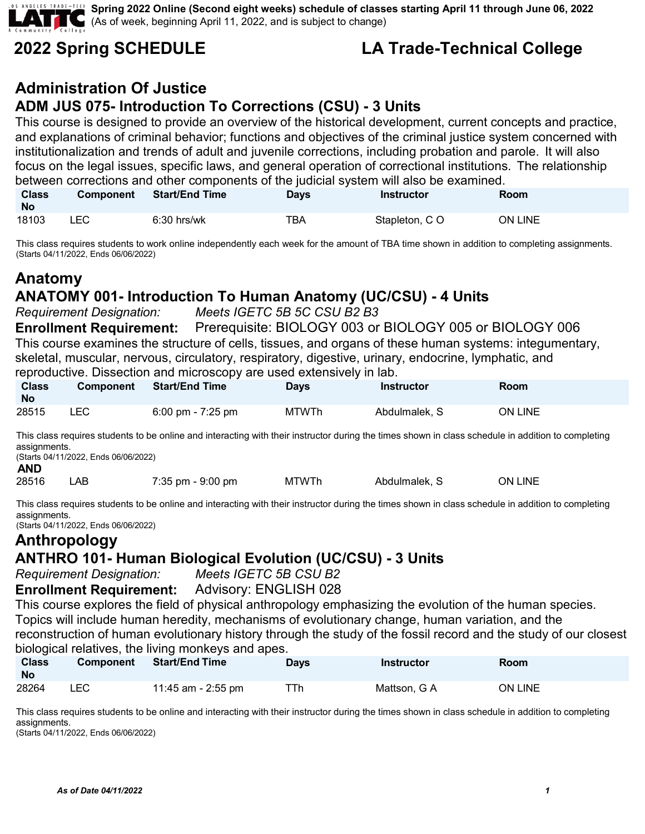**Spring 2022 Online (Second eight weeks) schedule of classes starting April 11 through June 06, 2022** (As of week, beginning April 11, 2022, and is subject to change)

## **2022 Spring SCHEDULE LA Trade-Technical College**

#### **Administration Of Justice ADM JUS 075- Introduction To Corrections (CSU) - 3 Units**

This course is designed to provide an overview of the historical development, current concepts and practice, and explanations of criminal behavior; functions and objectives of the criminal justice system concerned with institutionalization and trends of adult and juvenile corrections, including probation and parole. It will also focus on the legal issues, specific laws, and general operation of correctional institutions. The relationship between corrections and other components of the judicial system will also be examined.

| <b>Class</b><br><b>No</b> | <b>Component</b> | <b>Start/End Time</b> | Days | Instructor    | Room           |
|---------------------------|------------------|-----------------------|------|---------------|----------------|
| 18103                     | LEC-             | $6:30$ hrs/wk         | TBA  | Stapleton, CO | <b>ON LINE</b> |

This class requires students to work online independently each week for the amount of TBA time shown in addition to completing assignments. (Starts 04/11/2022, Ends 06/06/2022)

## **Anatomy**

#### **ANATOMY 001- Introduction To Human Anatomy (UC/CSU) - 4 Units**

*Requirement Designation: Meets IGETC 5B 5C CSU B2 B3*

**Enrollment Requirement:** Prerequisite: BIOLOGY 003 or BIOLOGY 005 or BIOLOGY 006 This course examines the structure of cells, tissues, and organs of these human systems: integumentary, skeletal, muscular, nervous, circulatory, respiratory, digestive, urinary, endocrine, lymphatic, and reproductive. Dissection and microscopy are used extensively in lab.

| <b>Class</b><br><b>No</b> | <b>Component</b> | Start/End Time    | Days         | Instructor    | Room    |
|---------------------------|------------------|-------------------|--------------|---------------|---------|
| 28515                     | LEC.             | 6:00 pm - 7:25 pm | <b>MTWTh</b> | Abdulmalek, S | ON LINE |

This class requires students to be online and interacting with their instructor during the times shown in class schedule in addition to completing assignments.

(Starts 04/11/2022, Ends 06/06/2022) **AND**

| 28516 | AB | $7:35$ pm - $9:00$ pm | MTWTh | Abdulmalek, | ON LINE |
|-------|----|-----------------------|-------|-------------|---------|
|-------|----|-----------------------|-------|-------------|---------|

This class requires students to be online and interacting with their instructor during the times shown in class schedule in addition to completing assignments.

(Starts 04/11/2022, Ends 06/06/2022)

## **Anthropology ANTHRO 101- Human Biological Evolution (UC/CSU) - 3 Units**

*Requirement Designation:* 

#### **Enrollment Requirement:** Advisory: ENGLISH 028

This course explores the field of physical anthropology emphasizing the evolution of the human species. Topics will include human heredity, mechanisms of evolutionary change, human variation, and the reconstruction of human evolutionary history through the study of the fossil record and the study of our closest biological relatives, the living monkeys and apes.

| <b>Class</b><br>No | <b>Component</b> | <b>Start/End Time</b> | <b>Days</b> | <b>Instructor</b> | <b>Room</b>    |
|--------------------|------------------|-----------------------|-------------|-------------------|----------------|
| 28264              | ∟EC              | 11:45 am - 2:55 pm    | ⊤Тh         | Mattson, G A      | <b>ON LINE</b> |

This class requires students to be online and interacting with their instructor during the times shown in class schedule in addition to completing assignments.

(Starts 04/11/2022, Ends 06/06/2022)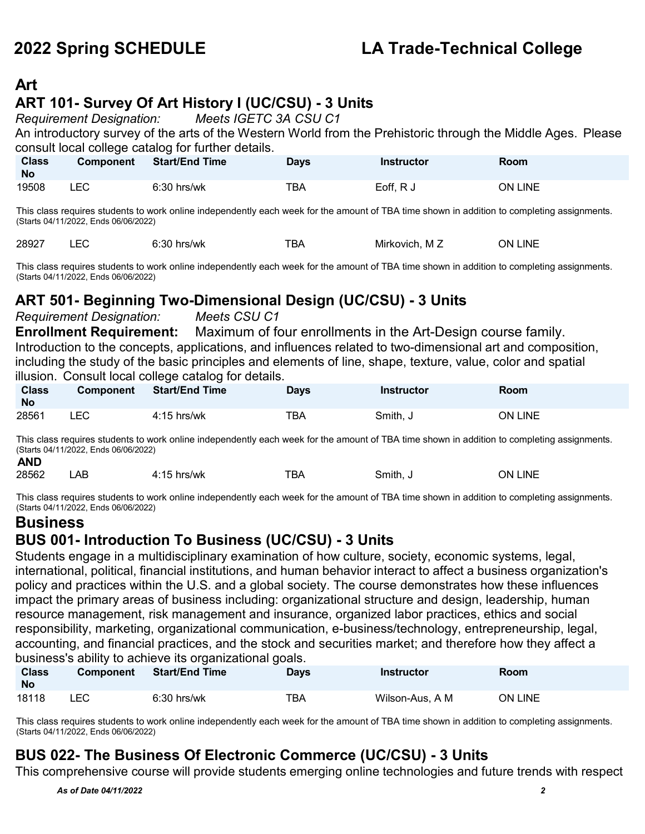### **Art**

## **ART 101- Survey Of Art History I (UC/CSU) - 3 Units**

*Requirement Designation: Meets IGETC 3A CSU C1*

An introductory survey of the arts of the Western World from the Prehistoric through the Middle Ages. Please consult local college catalog for further details.

| <b>Class</b><br><b>No</b> | <b>Component</b> | <b>Start/End Time</b> | <b>Days</b> | <b>Instructor</b> | <b>Room</b> |
|---------------------------|------------------|-----------------------|-------------|-------------------|-------------|
| 19508                     | ∟EC              | $6:30$ hrs/wk         | тва         | Eoff, R J         | ON LINE     |

This class requires students to work online independently each week for the amount of TBA time shown in addition to completing assignments. (Starts 04/11/2022, Ends 06/06/2022)

| 28927<br>--<br>hrs/wk<br>Mirkovich.<br>– M ∠<br>. טכ<br>DA<br>____<br>____ | ЭN.<br>INF |
|----------------------------------------------------------------------------|------------|
|----------------------------------------------------------------------------|------------|

This class requires students to work online independently each week for the amount of TBA time shown in addition to completing assignments. (Starts 04/11/2022, Ends 06/06/2022)

#### **ART 501- Beginning Two-Dimensional Design (UC/CSU) - 3 Units**

*Requirement Designation: Meets CSU C1*

**Enrollment Requirement:** Maximum of four enrollments in the Art-Design course family. Introduction to the concepts, applications, and influences related to two-dimensional art and composition, including the study of the basic principles and elements of line, shape, texture, value, color and spatial illusion. Consult local college catalog for details.

| <b>Class</b><br><b>No</b> | <b>Component</b> | <b>Start/End Time</b> | <b>Days</b> | <b>Instructor</b> | Room    |
|---------------------------|------------------|-----------------------|-------------|-------------------|---------|
| 28561                     | LEC              | 4:15 hrs/wk           | TBA         | Smith, J          | ON LINE |

This class requires students to work online independently each week for the amount of TBA time shown in addition to completing assignments. (Starts 04/11/2022, Ends 06/06/2022) **AND**

| 28562 | AB | hrs/wk<br>.16<br>1 J | $- -$<br>BA | Smith. | LINE<br>DN. |
|-------|----|----------------------|-------------|--------|-------------|
| ___   |    |                      |             |        |             |

This class requires students to work online independently each week for the amount of TBA time shown in addition to completing assignments. (Starts 04/11/2022, Ends 06/06/2022)

#### **Business**

#### **BUS 001- Introduction To Business (UC/CSU) - 3 Units**

Students engage in a multidisciplinary examination of how culture, society, economic systems, legal, international, political, financial institutions, and human behavior interact to affect a business organization's policy and practices within the U.S. and a global society. The course demonstrates how these influences impact the primary areas of business including: organizational structure and design, leadership, human resource management, risk management and insurance, organized labor practices, ethics and social responsibility, marketing, organizational communication, e-business/technology, entrepreneurship, legal, accounting, and financial practices, and the stock and securities market; and therefore how they affect a business's ability to achieve its organizational goals.

| <b>Class</b><br><b>No</b> | <b>Component</b> | <b>Start/End Time</b> | <b>Days</b> | Instructor      | Room           |
|---------------------------|------------------|-----------------------|-------------|-----------------|----------------|
| 18118                     | <b>LEC</b>       | $6:30$ hrs/wk         | TBA         | Wilson-Aus, A M | <b>ON LINE</b> |

This class requires students to work online independently each week for the amount of TBA time shown in addition to completing assignments. (Starts 04/11/2022, Ends 06/06/2022)

#### **BUS 022- The Business Of Electronic Commerce (UC/CSU) - 3 Units**

This comprehensive course will provide students emerging online technologies and future trends with respect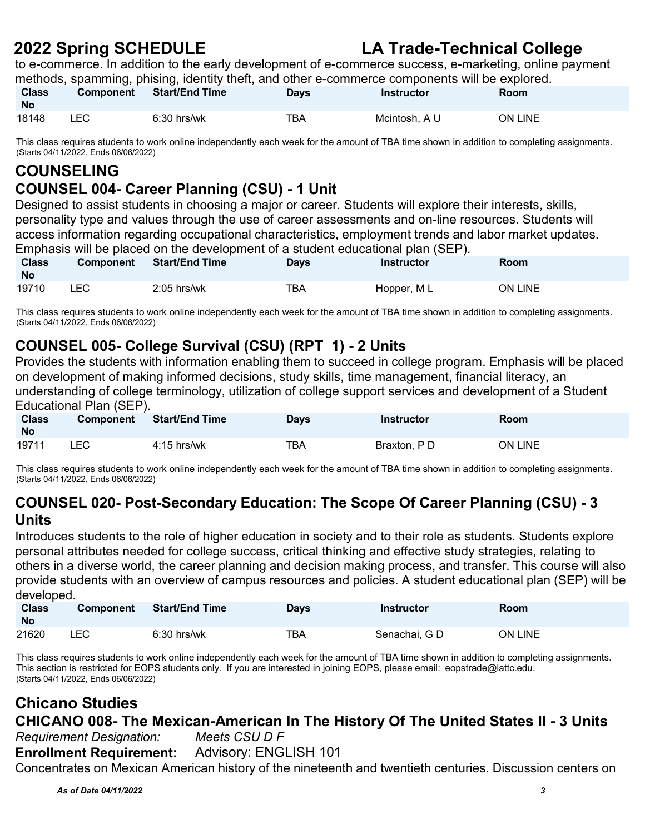to e-commerce. In addition to the early development of e-commerce success, e-marketing, online payment methods, spamming, phising, identity theft, and other e-commerce components will be explored.

| <b>Class</b><br><b>No</b> | <b>Component</b> | <b>Start/End Time</b> | <b>Days</b> | Instructor    | Room    |
|---------------------------|------------------|-----------------------|-------------|---------------|---------|
| 18148                     | LEC.             | $6:30$ hrs/wk         | тва         | Mcintosh. A U | ON LINE |

This class requires students to work online independently each week for the amount of TBA time shown in addition to completing assignments. (Starts 04/11/2022, Ends 06/06/2022)

### **COUNSELING**

#### **COUNSEL 004- Career Planning (CSU) - 1 Unit**

Designed to assist students in choosing a major or career. Students will explore their interests, skills, personality type and values through the use of career assessments and on-line resources. Students will access information regarding occupational characteristics, employment trends and labor market updates. Emphasis will be placed on the development of a student educational plan (SEP).

| <b>Class</b><br><b>No</b> | Component | <b>Start/End Time</b> | <b>Days</b> | <b>Instructor</b> | <b>Room</b>    |
|---------------------------|-----------|-----------------------|-------------|-------------------|----------------|
| 19710                     | LEC       | $2:05$ hrs/wk         | TBA         | Hopper, ML        | <b>ON LINE</b> |

This class requires students to work online independently each week for the amount of TBA time shown in addition to completing assignments. (Starts 04/11/2022, Ends 06/06/2022)

### **COUNSEL 005- College Survival (CSU) (RPT 1) - 2 Units**

Provides the students with information enabling them to succeed in college program. Emphasis will be placed on development of making informed decisions, study skills, time management, financial literacy, an understanding of college terminology, utilization of college support services and development of a Student Educational Plan (SEP).

| <b>Class</b><br><b>No</b> | <b>Component</b> | <b>Start/End Time</b> | Days | Instructor  | <b>Room</b>    |
|---------------------------|------------------|-----------------------|------|-------------|----------------|
| 19711                     | <b>LEC</b>       | $4:15$ hrs/wk         | TBA  | Braxton, PD | <b>ON LINE</b> |

This class requires students to work online independently each week for the amount of TBA time shown in addition to completing assignments. (Starts 04/11/2022, Ends 06/06/2022)

#### **COUNSEL 020- Post-Secondary Education: The Scope Of Career Planning (CSU) - 3 Units**

Introduces students to the role of higher education in society and to their role as students. Students explore personal attributes needed for college success, critical thinking and effective study strategies, relating to others in a diverse world, the career planning and decision making process, and transfer. This course will also provide students with an overview of campus resources and policies. A student educational plan (SEP) will be developed.

| <b>Class</b><br><b>No</b> | <b>Component</b> | <b>Start/End Time</b> | Days | <b>Instructor</b> | <b>Room</b> |
|---------------------------|------------------|-----------------------|------|-------------------|-------------|
| 21620                     | _EC.             | $6:30$ hrs/wk         | TBA  | Senachai. G D     | ON LINE     |

This class requires students to work online independently each week for the amount of TBA time shown in addition to completing assignments. This section is restricted for EOPS students only. If you are interested in joining EOPS, please email: [eopstrade@lattc.edu.](mailto:eopstrade@lattc.edu) (Starts 04/11/2022, Ends 06/06/2022)

#### **Chicano Studies CHICANO 008- The Mexican-American In The History Of The United States II - 3 Units** *Requirement Designation: Meets CSU D F*

**Enrollment Requirement:** Advisory: ENGLISH 101

Concentrates on Mexican American history of the nineteenth and twentieth centuries. Discussion centers on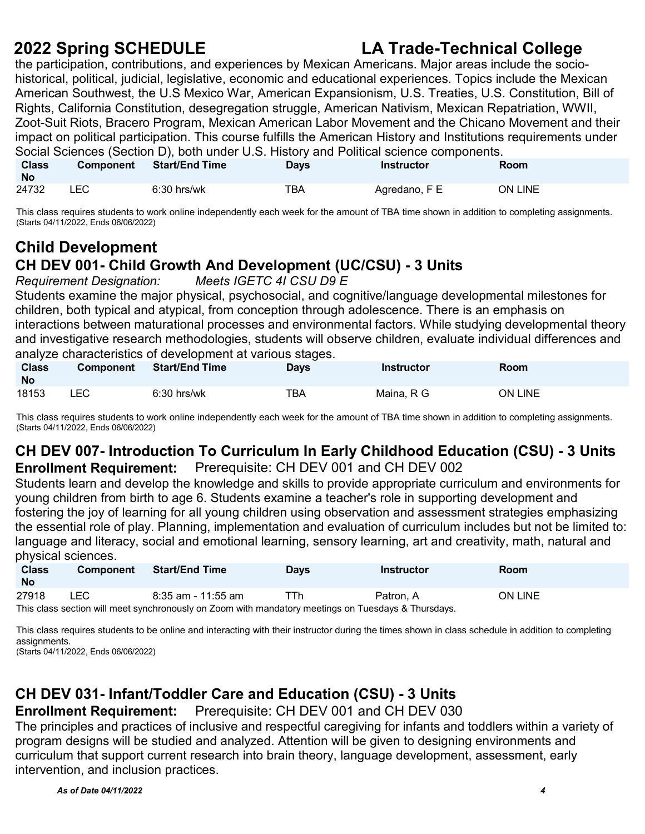the participation, contributions, and experiences by Mexican Americans. Major areas include the sociohistorical, political, judicial, legislative, economic and educational experiences. Topics include the Mexican American Southwest, the U.S Mexico War, American Expansionism, U.S. Treaties, U.S. Constitution, Bill of Rights, California Constitution, desegregation struggle, American Nativism, Mexican Repatriation, WWII, Zoot-Suit Riots, Bracero Program, Mexican American Labor Movement and the Chicano Movement and their impact on political participation. This course fulfills the American History and Institutions requirements under Social Sciences (Section D), both under U.S. History and Political science components.

| <b>Class</b><br><b>No</b> | <b>Component</b> | <b>Start/End Time</b> | Days | Instructor    | Room    |
|---------------------------|------------------|-----------------------|------|---------------|---------|
| 24732                     | LEC              | $6:30$ hrs/wk         | TBA  | Agredano, F E | ON LINE |

This class requires students to work online independently each week for the amount of TBA time shown in addition to completing assignments. (Starts 04/11/2022, Ends 06/06/2022)

## **Child Development CH DEV 001- Child Growth And Development (UC/CSU) - 3 Units**

*Requirement Designation:* 

Students examine the major physical, psychosocial, and cognitive/language developmental milestones for children, both typical and atypical, from conception through adolescence. There is an emphasis on interactions between maturational processes and environmental factors. While studying developmental theory and investigative research methodologies, students will observe children, evaluate individual differences and analyze characteristics of development at various stages.

| <b>Class</b><br><b>No</b> | <b>Component</b> | <b>Start/End Time</b> | Days | <b>Instructor</b> | <b>Room</b> |
|---------------------------|------------------|-----------------------|------|-------------------|-------------|
| 18153                     | ∟EC-             | $6:30$ hrs/wk         | ТВА  | Maina. R G        | ON LINE     |

This class requires students to work online independently each week for the amount of TBA time shown in addition to completing assignments. (Starts 04/11/2022, Ends 06/06/2022)

#### **CH DEV 007- Introduction To Curriculum In Early Childhood Education (CSU) - 3 Units Enrollment Requirement:** Prerequisite: CH DEV 001 and CH DEV 002

Students learn and develop the knowledge and skills to provide appropriate curriculum and environments for young children from birth to age 6. Students examine a teacher's role in supporting development and fostering the joy of learning for all young children using observation and assessment strategies emphasizing the essential role of play. Planning, implementation and evaluation of curriculum includes but not be limited to: language and literacy, social and emotional learning, sensory learning, art and creativity, math, natural and physical sciences.

| <b>Class</b> | Component                                                                                           | <b>Start/End Time</b> | <b>Days</b> | Instructor | <b>Room</b> |  |  |  |
|--------------|-----------------------------------------------------------------------------------------------------|-----------------------|-------------|------------|-------------|--|--|--|
| <b>No</b>    |                                                                                                     |                       |             |            |             |  |  |  |
| 27918        | <b>LEC</b>                                                                                          | 8:35 am - 11:55 am    | TTh         | Patron. A  | ON LINE     |  |  |  |
|              | This class section will meet synchronously on Zoom with mandatory meetings on Tuesdays & Thursdays. |                       |             |            |             |  |  |  |

This class requires students to be online and interacting with their instructor during the times shown in class schedule in addition to completing assignments.

(Starts 04/11/2022, Ends 06/06/2022)

## **CH DEV 031- Infant/Toddler Care and Education (CSU) - 3 Units**

**Enrollment Requirement:** Prerequisite: CH DEV 001 and CH DEV 030

The principles and practices of inclusive and respectful caregiving for infants and toddlers within a variety of program designs will be studied and analyzed. Attention will be given to designing environments and curriculum that support current research into brain theory, language development, assessment, early intervention, and inclusion practices.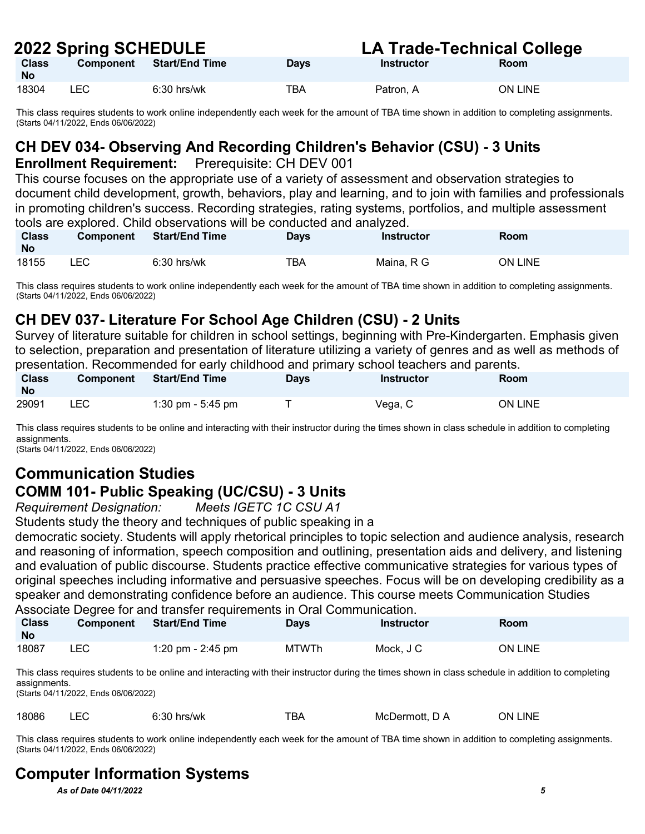| ZUZZ ƏDIIIIY ƏUNEDULE     |           |                |             | LA TIQUE-TECHNICAI GONEUE |                |  |
|---------------------------|-----------|----------------|-------------|---------------------------|----------------|--|
| <b>Class</b><br><b>No</b> | Component | Start/End Time | <b>Days</b> | Instructor                | Room           |  |
| 18304                     | LEC       | $6:30$ hrs/wk  | TBA         | Patron, A                 | <b>ON LINE</b> |  |

This class requires students to work online independently each week for the amount of TBA time shown in addition to completing assignments. (Starts 04/11/2022, Ends 06/06/2022)

## **CH DEV 034- Observing And Recording Children's Behavior (CSU) - 3 Units**

#### **Enrollment Requirement:** Prerequisite: CH DEV 001

This course focuses on the appropriate use of a variety of assessment and observation strategies to document child development, growth, behaviors, play and learning, and to join with families and professionals in promoting children's success. Recording strategies, rating systems, portfolios, and multiple assessment tools are explored. Child observations will be conducted and analyzed.

| <b>Class</b><br><b>No</b> | <b>Component</b> | <b>Start/End Time</b> | Days | <b>Instructor</b> | Room           |
|---------------------------|------------------|-----------------------|------|-------------------|----------------|
| 18155                     | <b>LEC</b>       | $6:30$ hrs/wk         | TBA  | Maina, R G        | <b>ON LINE</b> |

This class requires students to work online independently each week for the amount of TBA time shown in addition to completing assignments. (Starts 04/11/2022, Ends 06/06/2022)

### **CH DEV 037- Literature For School Age Children (CSU) - 2 Units**

Survey of literature suitable for children in school settings, beginning with Pre-Kindergarten. Emphasis given to selection, preparation and presentation of literature utilizing a variety of genres and as well as methods of presentation. Recommended for early childhood and primary school teachers and parents.

| Class<br><b>No</b> | <b>Component</b> | <b>Start/End Time</b> | Days | Instructor | Room           |
|--------------------|------------------|-----------------------|------|------------|----------------|
| 29091              | LEC              | 1:30 pm - 5:45 pm     |      | Vega, C    | <b>ON LINE</b> |

This class requires students to be online and interacting with their instructor during the times shown in class schedule in addition to completing assignments.

(Starts 04/11/2022, Ends 06/06/2022)

### **Communication Studies COMM 101- Public Speaking (UC/CSU) - 3 Units**

*Requirement Designation: Meets IGETC 1C CSU A1* 

Students study the theory and techniques of public speaking in a

democratic society. Students will apply rhetorical principles to topic selection and audience analysis, research and reasoning of information, speech composition and outlining, presentation aids and delivery, and listening and evaluation of public discourse. Students practice effective communicative strategies for various types of original speeches including informative and persuasive speeches. Focus will be on developing credibility as a speaker and demonstrating confidence before an audience. This course meets Communication Studies Associate Degree for and transfer requirements in Oral Communication.

| Class<br><b>No</b> | <b>Component</b> | <b>Start/End Time</b> | Days         | Instructor | Room    |
|--------------------|------------------|-----------------------|--------------|------------|---------|
| 18087              | LEC              | 1:20 pm - 2:45 pm     | <b>MTWTh</b> | Mock, J C  | ON LINE |

This class requires students to be online and interacting with their instructor during the times shown in class schedule in addition to completing assignments.

(Starts 04/11/2022, Ends 06/06/2022)

| 18086 |  | $6:30$ hrs/wk | тва | McDermott. D A | ON LINE |
|-------|--|---------------|-----|----------------|---------|
|-------|--|---------------|-----|----------------|---------|

This class requires students to work online independently each week for the amount of TBA time shown in addition to completing assignments. (Starts 04/11/2022, Ends 06/06/2022)

## **Computer Information Systems**

*As of Date 04/11/2022 5*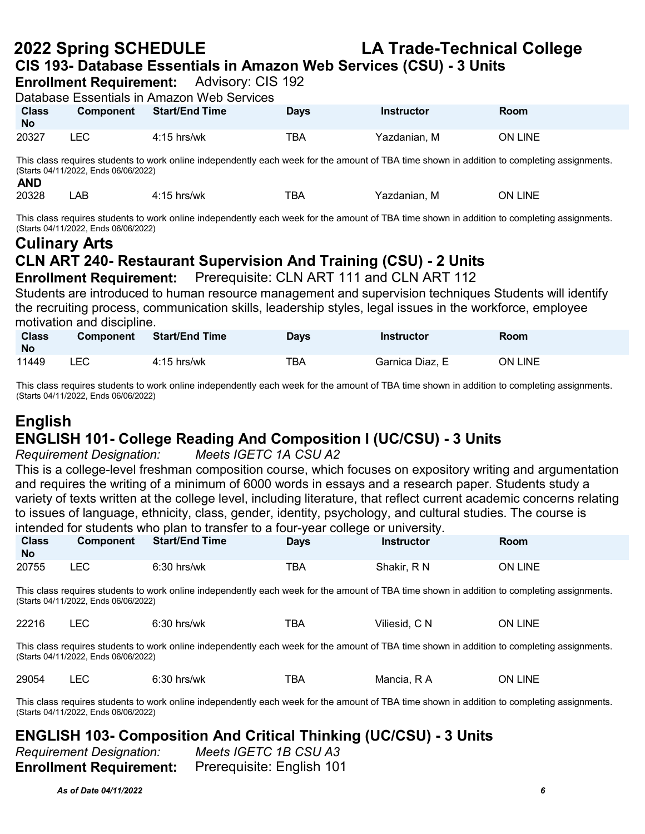## **2022 Spring SCHEDULE LA Trade-Technical College CIS 193- Database Essentials in Amazon Web Services (CSU) - 3 Units**

**Enrollment Requirement:** Advisory: CIS 192

| Database Essentials in Amazon Web Services                                                                                                                                          |                  |                       |             |              |                |  |  |  |
|-------------------------------------------------------------------------------------------------------------------------------------------------------------------------------------|------------------|-----------------------|-------------|--------------|----------------|--|--|--|
| <b>Class</b><br><b>No</b>                                                                                                                                                           | <b>Component</b> | <b>Start/End Time</b> | <b>Davs</b> | Instructor   | Room           |  |  |  |
| 20327                                                                                                                                                                               | LEC.             | $4:15$ hrs/wk         | ТВА         | Yazdanian, M | <b>ON LINE</b> |  |  |  |
| This class requires students to work online independently each week for the amount of TBA time shown in addition to completing assignments.<br>(Starts 04/11/2022, Ends 06/06/2022) |                  |                       |             |              |                |  |  |  |

| <b>AND</b> |    |               |     |              |         |
|------------|----|---------------|-----|--------------|---------|
| 20328      | ΑB | $4:15$ hrs/wk | тва | Yazdanian. M | ON LINE |

This class requires students to work online independently each week for the amount of TBA time shown in addition to completing assignments. (Starts 04/11/2022, Ends 06/06/2022)

## **Culinary Arts CLN ART 240- Restaurant Supervision And Training (CSU) - 2 Units**

**Enrollment Requirement:** Prerequisite: CLN ART 111 and CLN ART 112 Students are introduced to human resource management and supervision techniques Students will identify

the recruiting process, communication skills, leadership styles, legal issues in the workforce, employee motivation and discipline.

| <b>Class</b><br><b>No</b> | <b>Component</b> | <b>Start/End Time</b> | Days | <b>Instructor</b> | Room           |
|---------------------------|------------------|-----------------------|------|-------------------|----------------|
| 11449                     | LEC.             | 4:15 hrs/wk           | TBA  | Garnica Diaz, E   | <b>ON LINE</b> |

This class requires students to work online independently each week for the amount of TBA time shown in addition to completing assignments. (Starts 04/11/2022, Ends 06/06/2022)

# **English**

## **ENGLISH 101- College Reading And Composition I (UC/CSU) - 3 Units**

*Requirement Designation: Meets IGETC 1A CSU A2*

This is a college-level freshman composition course, which focuses on expository writing and argumentation and requires the writing of a minimum of 6000 words in essays and a research paper. Students study a variety of texts written at the college level, including literature, that reflect current academic concerns relating to issues of language, ethnicity, class, gender, identity, psychology, and cultural studies. The course is intended for students who plan to transfer to a four-year college or university.

| <b>Class</b><br><b>No</b> | <b>Component</b> | <b>Start/End Time</b> | <b>Days</b> | Instructor  | Room           |
|---------------------------|------------------|-----------------------|-------------|-------------|----------------|
| 20755                     | LEC              | $6:30$ hrs/wk         | TBA         | Shakir, R N | <b>ON LINE</b> |

This class requires students to work online independently each week for the amount of TBA time shown in addition to completing assignments. (Starts 04/11/2022, Ends 06/06/2022)

| 22216 | $6:30$ hrs/wk | <b>TBA</b> | Viliesid, C N | <b>ON LINE</b> |
|-------|---------------|------------|---------------|----------------|
|       |               |            |               |                |

This class requires students to work online independently each week for the amount of TBA time shown in addition to completing assignments. (Starts 04/11/2022, Ends 06/06/2022)

|  | 29054<br>___ | --- | $\sim$<br>hrs/wk<br>.<br>_____ | $- -$<br>, ,<br>DF | Mancia<br>R. | 7N.<br>INF |
|--|--------------|-----|--------------------------------|--------------------|--------------|------------|
|--|--------------|-----|--------------------------------|--------------------|--------------|------------|

This class requires students to work online independently each week for the amount of TBA time shown in addition to completing assignments. (Starts 04/11/2022, Ends 06/06/2022)

#### **ENGLISH 103- Composition And Critical Thinking (UC/CSU) - 3 Units**

*Requirement Designation: Meets IGETC 1B CSU A3* **Enrollment Requirement:** Prerequisite: English 101

*As of Date 04/11/2022 6*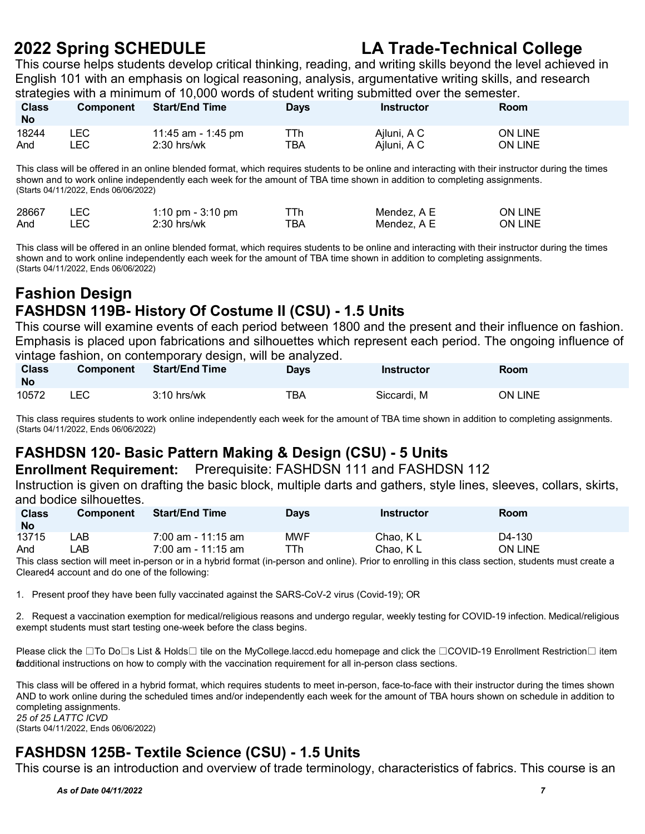This course helps students develop critical thinking, reading, and writing skills beyond the level achieved in English 101 with an emphasis on logical reasoning, analysis, argumentative writing skills, and research strategies with a minimum of 10,000 words of student writing submitted over the semester.

| <b>Class</b><br><b>No</b> | <b>Component</b> | <b>Start/End Time</b> | Days | Instructor  | Room           |
|---------------------------|------------------|-----------------------|------|-------------|----------------|
| 18244                     | ∟EC I            | 11:45 am - 1:45 pm    | ⊤Тh  | Ajluni, A C | <b>ON LINE</b> |
| And                       | _EC              | $2:30$ hrs/wk         | TBA  | Ajluni, A C | ON LINE        |

This class will be offered in an online blended format, which requires students to be online and interacting with their instructor during the times shown and to work online independently each week for the amount of TBA time shown in addition to completing assignments. (Starts 04/11/2022, Ends 06/06/2022)

| 28667 | 1:10 pm - $3:10$ pm |     | Mendez. A E | ON LINE |
|-------|---------------------|-----|-------------|---------|
| And   | 2:30 hrs/wk         | ™ВА | Mendez. A E | ON LINE |

This class will be offered in an online blended format, which requires students to be online and interacting with their instructor during the times shown and to work online independently each week for the amount of TBA time shown in addition to completing assignments. (Starts 04/11/2022, Ends 06/06/2022)

#### **Fashion Design FASHDSN 119B- History Of Costume II (CSU) - 1.5 Units**

This course will examine events of each period between 1800 and the present and their influence on fashion. Emphasis is placed upon fabrications and silhouettes which represent each period. The ongoing influence of vintage fashion, on contemporary design, will be analyzed.

| <b>Class</b><br><b>No</b> | <b>Component</b> | <b>Start/End Time</b> | Davs | <b>Instructor</b> | <b>Room</b>    |
|---------------------------|------------------|-----------------------|------|-------------------|----------------|
| 10572                     | LEC              | $3:10$ hrs/wk         | тва  | Siccardi, M       | <b>ON LINE</b> |

This class requires students to work online independently each week for the amount of TBA time shown in addition to completing assignments. (Starts 04/11/2022, Ends 06/06/2022)

#### **FASHDSN 120- Basic Pattern Making & Design (CSU) - 5 Units**

**Enrollment Requirement:** Prerequisite: FASHDSN 111 and FASHDSN 112

Instruction is given on drafting the basic block, multiple darts and gathers, style lines, sleeves, collars, skirts, and bodice silhouettes.

| <b>Class</b><br><b>No</b> | <b>Component</b> | <b>Start/End Time</b> | <b>Days</b> | Instructor | <b>Room</b>    |
|---------------------------|------------------|-----------------------|-------------|------------|----------------|
| 13715                     | _AB .            | $7:00$ am - 11:15 am  | <b>MWF</b>  | Chao, KL   | D4-130         |
| And                       | _AB .            | $7:00$ am - 11:15 am  | ⊤Th         | Chao, KL   | <b>ON LINE</b> |

This class section will meet in-person or in a hybrid format (in-person and online). Prior to enrolling in this class section, students must create a Cleared4 account and do one of the following:

1. Present proof they have been fully vaccinated against the SARS-CoV-2 virus (Covid-19); OR

2. Request a vaccination exemption for medical/religious reasons and undergo regular, weekly testing for COVID-19 infection. Medical/religious exempt students must start testing one-week before the class begins.

Please click the ⊡To Do⊟s List & Holds⊡ tile on the MyCollege.laccd.edu homepage and click the ⊡COVID-19 Enrollment Restriction⊟ item fadditional instructions on how to comply with the vaccination requirement for all in-person class sections.

This class will be offered in a hybrid format, which requires students to meet in-person, face-to-face with their instructor during the times shown AND to work online during the scheduled times and/or independently each week for the amount of TBA hours shown on schedule in addition to completing assignments. *25 of 25 LATTC ICVD*

(Starts 04/11/2022, Ends 06/06/2022)

## **FASHDSN 125B- Textile Science (CSU) - 1.5 Units**

This course is an introduction and overview of trade terminology, characteristics of fabrics. This course is an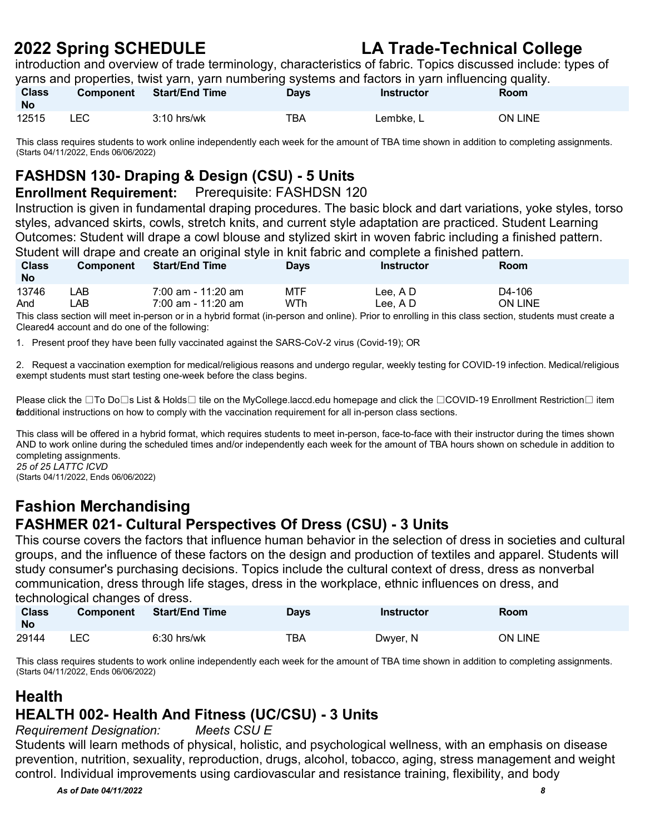introduction and overview of trade terminology, characteristics of fabric. Topics discussed include: types of yarns and properties, twist yarn, yarn numbering systems and factors in yarn influencing quality.

| <b>Class</b><br><b>No</b> | <b>Component</b> | Start/End Time | <b>Days</b> | Instructor | Room    |
|---------------------------|------------------|----------------|-------------|------------|---------|
| 12515                     | _EC              | $3:10$ hrs/wk  | TBA         | Lembke. L  | ON LINE |

This class requires students to work online independently each week for the amount of TBA time shown in addition to completing assignments. (Starts 04/11/2022, Ends 06/06/2022)

## **FASHDSN 130- Draping & Design (CSU) - 5 Units**

#### **Enrollment Requirement:** Prerequisite: FASHDSN 120

Instruction is given in fundamental draping procedures. The basic block and dart variations, yoke styles, torso styles, advanced skirts, cowls, stretch knits, and current style adaptation are practiced. Student Learning Outcomes: Student will drape a cowl blouse and stylized skirt in woven fabric including a finished pattern. Student will drape and create an original style in knit fabric and complete a finished pattern.

| <b>Class</b><br><b>No</b> | <b>Component</b> | <b>Start/End Time</b> | Days       | Instructor | Room           |
|---------------------------|------------------|-----------------------|------------|------------|----------------|
| 13746                     | _AB_             | $7:00$ am - 11:20 am  | <b>MTF</b> | Lee. A D   | D4-106         |
| And                       | ∟AB              | 7:00 am - 11:20 am    | WTh        | Lee. A D   | <b>ON LINE</b> |

This class section will meet in-person or in a hybrid format (in-person and online). Prior to enrolling in this class section, students must create a Cleared4 account and do one of the following:

1. Present proof they have been fully vaccinated against the SARS-CoV-2 virus (Covid-19); OR

2. Request a vaccination exemption for medical/religious reasons and undergo regular, weekly testing for COVID-19 infection. Medical/religious exempt students must start testing one-week before the class begins.

Please click the  $\Box$ To Do $\Box$ s List & Holds $\Box$  tile on the MyCollege.laccd.edu homepage and click the  $\Box$ COVID-19 Enrollment Restriction  $\Box$  item fadditional instructions on how to comply with the vaccination requirement for all in-person class sections.

This class will be offered in a hybrid format, which requires students to meet in-person, face-to-face with their instructor during the times shown AND to work online during the scheduled times and/or independently each week for the amount of TBA hours shown on schedule in addition to completing assignments. *25 of 25 LATTC ICVD*

(Starts 04/11/2022, Ends 06/06/2022)

#### **Fashion Merchandising FASHMER 021- Cultural Perspectives Of Dress (CSU) - 3 Units**

This course covers the factors that influence human behavior in the selection of dress in societies and cultural groups, and the influence of these factors on the design and production of textiles and apparel. Students will study consumer's purchasing decisions. Topics include the cultural context of dress, dress as nonverbal communication, dress through life stages, dress in the workplace, ethnic influences on dress, and technological changes of dress.

| <b>Class</b><br><b>No</b> | <b>Component</b> | <b>Start/End Time</b> | Days | <b>Instructor</b> | Room           |
|---------------------------|------------------|-----------------------|------|-------------------|----------------|
| 29144                     | LEC              | $6:30$ hrs/wk         | TBA  | Dwyer, N          | <b>ON LINE</b> |

This class requires students to work online independently each week for the amount of TBA time shown in addition to completing assignments. (Starts 04/11/2022, Ends 06/06/2022)

#### **Health HEALTH 002- Health And Fitness (UC/CSU) - 3 Units**

*Requirement Designation: Meets CSU E* 

Students will learn methods of physical, holistic, and psychological wellness, with an emphasis on disease prevention, nutrition, sexuality, reproduction, drugs, alcohol, tobacco, aging, stress management and weight control. Individual improvements using cardiovascular and resistance training, flexibility, and body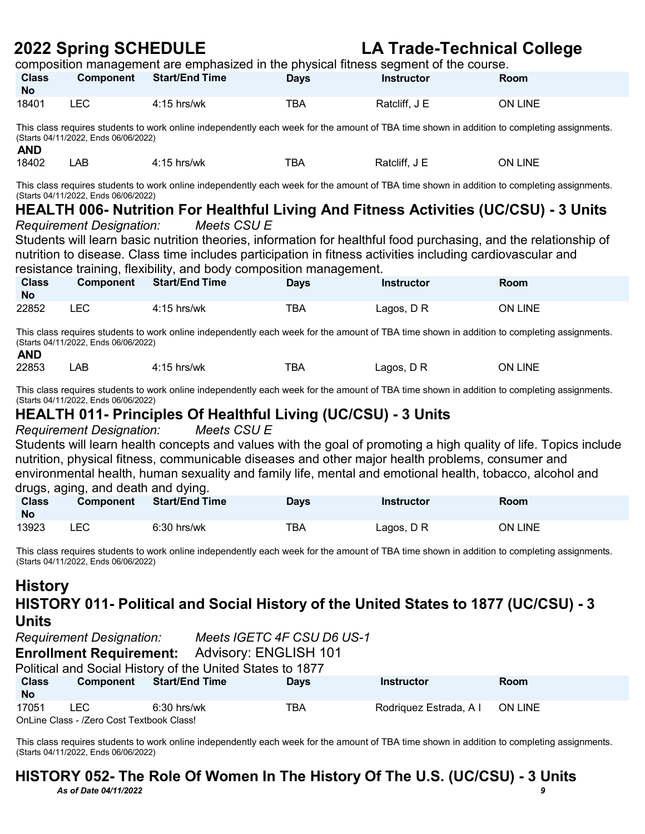### **2022 Spring SCHEDULE LA Trade-Technical College** composition management are emphasized in the physical fitness segment of the course.

| <b>Class</b><br><b>No</b>                                                                                                                                                                         | Component                                                                                                                                                                           | <b>Start/End Time</b>                                              | <b>Days</b> | composition management are emphasized in the priyered nincee edgment or the edgi<br><b>Instructor</b>      | Room                                                                                                                                        |  |  |  |
|---------------------------------------------------------------------------------------------------------------------------------------------------------------------------------------------------|-------------------------------------------------------------------------------------------------------------------------------------------------------------------------------------|--------------------------------------------------------------------|-------------|------------------------------------------------------------------------------------------------------------|---------------------------------------------------------------------------------------------------------------------------------------------|--|--|--|
| 18401                                                                                                                                                                                             | <b>LEC</b>                                                                                                                                                                          | $4:15$ hrs/wk                                                      | <b>TBA</b>  | Ratcliff, J E                                                                                              | ON LINE                                                                                                                                     |  |  |  |
| <b>AND</b>                                                                                                                                                                                        | (Starts 04/11/2022, Ends 06/06/2022)                                                                                                                                                |                                                                    |             |                                                                                                            | This class requires students to work online independently each week for the amount of TBA time shown in addition to completing assignments. |  |  |  |
| 18402                                                                                                                                                                                             | <b>LAB</b>                                                                                                                                                                          | $4:15$ hrs/wk                                                      | <b>TBA</b>  | Ratcliff, J E                                                                                              | ON LINE                                                                                                                                     |  |  |  |
|                                                                                                                                                                                                   | (Starts 04/11/2022, Ends 06/06/2022)                                                                                                                                                |                                                                    |             |                                                                                                            | This class requires students to work online independently each week for the amount of TBA time shown in addition to completing assignments. |  |  |  |
|                                                                                                                                                                                                   |                                                                                                                                                                                     |                                                                    |             |                                                                                                            | HEALTH 006- Nutrition For Healthful Living And Fitness Activities (UC/CSU) - 3 Units                                                        |  |  |  |
|                                                                                                                                                                                                   | <b>Requirement Designation:</b>                                                                                                                                                     | Meets CSU E                                                        |             |                                                                                                            |                                                                                                                                             |  |  |  |
|                                                                                                                                                                                                   |                                                                                                                                                                                     |                                                                    |             |                                                                                                            | Students will learn basic nutrition theories, information for healthful food purchasing, and the relationship of                            |  |  |  |
|                                                                                                                                                                                                   |                                                                                                                                                                                     |                                                                    |             | nutrition to disease. Class time includes participation in fitness activities including cardiovascular and |                                                                                                                                             |  |  |  |
|                                                                                                                                                                                                   |                                                                                                                                                                                     | resistance training, flexibility, and body composition management. |             |                                                                                                            |                                                                                                                                             |  |  |  |
| <b>Class</b><br><b>No</b>                                                                                                                                                                         | Component                                                                                                                                                                           | <b>Start/End Time</b>                                              | <b>Days</b> | <b>Instructor</b>                                                                                          | Room                                                                                                                                        |  |  |  |
| 22852                                                                                                                                                                                             | <b>LEC</b>                                                                                                                                                                          | $4:15$ hrs/wk                                                      | TBA         | Lagos, D R                                                                                                 | ON LINE                                                                                                                                     |  |  |  |
| This class requires students to work online independently each week for the amount of TBA time shown in addition to completing assignments.<br>(Starts 04/11/2022, Ends 06/06/2022)<br><b>AND</b> |                                                                                                                                                                                     |                                                                    |             |                                                                                                            |                                                                                                                                             |  |  |  |
| 22853                                                                                                                                                                                             | <b>LAB</b>                                                                                                                                                                          | $4:15$ hrs/wk                                                      | <b>TBA</b>  | Lagos, DR                                                                                                  | ON LINE                                                                                                                                     |  |  |  |
|                                                                                                                                                                                                   | This class requires students to work online independently each week for the amount of TBA time shown in addition to completing assignments.<br>(Starts 04/11/2022, Ends 06/06/2022) |                                                                    |             |                                                                                                            |                                                                                                                                             |  |  |  |

## **HEALTH 011- Principles Of Healthful Living (UC/CSU) - 3 Units**

*Requirement Designation: Meets CSU E* 

Students will learn health concepts and values with the goal of promoting a high quality of life. Topics include nutrition, physical fitness, communicable diseases and other major health problems, consumer and environmental health, human sexuality and family life, mental and emotional health, tobacco, alcohol and drugs, aging, and death and dying.

| arago, agnig, ana aoani ana a <i>j</i> ingi<br><b>Class</b><br><b>No</b> | <b>Component</b> | <b>Start/End Time</b> | <b>Days</b> | Instructor | Room           |
|--------------------------------------------------------------------------|------------------|-----------------------|-------------|------------|----------------|
| 13923                                                                    | ∟EC-             | $6:30$ hrs/wk         | TBA         | Lagos, D R | <b>ON LINE</b> |

This class requires students to work online independently each week for the amount of TBA time shown in addition to completing assignments. (Starts 04/11/2022, Ends 06/06/2022)

#### **History HISTORY 011- Political and Social History of the United States to 1877 (UC/CSU) - 3 Units**

| <b>Requirement Designation:</b> |                                                   |                                                           | Meets IGETC 4F CSU D6 US-1 |                                |      |
|---------------------------------|---------------------------------------------------|-----------------------------------------------------------|----------------------------|--------------------------------|------|
|                                 |                                                   | <b>Enrollment Requirement:</b> Advisory: ENGLISH 101      |                            |                                |      |
|                                 |                                                   | Political and Social History of the United States to 1877 |                            |                                |      |
| <b>Class</b><br><b>No</b>       | Component                                         | <b>Start/End Time</b>                                     | <b>Davs</b>                | <b>Instructor</b>              | Room |
| 17051                           | LEC.<br>OnLine Class - /Zero Cost Textbook Class! | $6:30$ hrs/wk                                             | TBA                        | Rodriquez Estrada, A I ON LINE |      |

This class requires students to work online independently each week for the amount of TBA time shown in addition to completing assignments. (Starts 04/11/2022, Ends 06/06/2022)

#### *As of Date 04/11/2022 9* **HISTORY 052- The Role Of Women In The History Of The U.S. (UC/CSU) - 3 Units**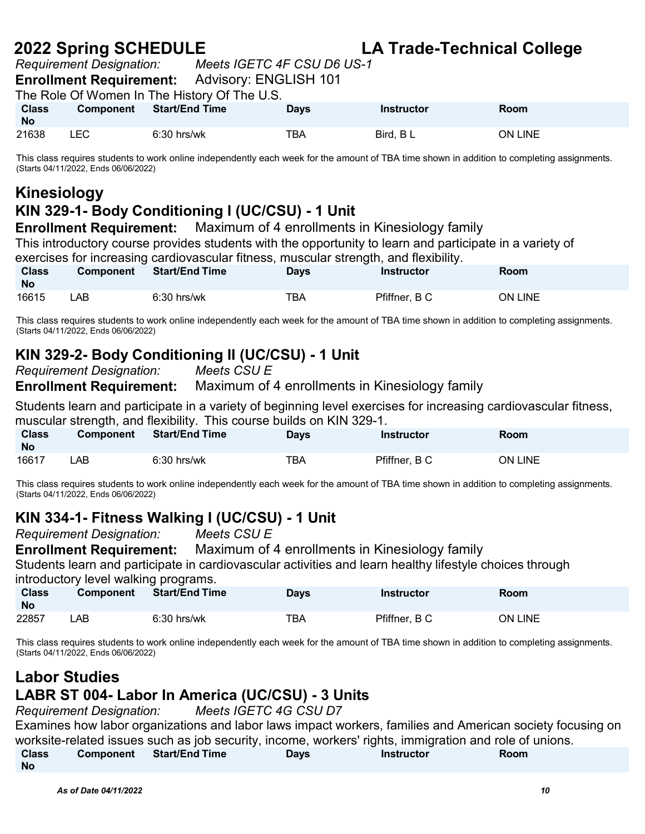**2022 Spring SCHEDULE LA Trade-Technical College** *Requirement Designation: Meets IGETC 4F CSU D6 US-1* 

**Enrollment Requirement:** Advisory: ENGLISH 101

The Role Of Women In The History Of The U.S.

| <b>Class</b><br><b>No</b> | Component | <b>Start/End Time</b> | <b>Davs</b> | <b>Instructor</b> | Room           |
|---------------------------|-----------|-----------------------|-------------|-------------------|----------------|
| 21638                     | LEC       | $6:30$ hrs/wk         | TBA         | Bird, BL          | <b>ON LINE</b> |

This class requires students to work online independently each week for the amount of TBA time shown in addition to completing assignments. (Starts 04/11/2022, Ends 06/06/2022)

### **Kinesiology**

#### **KIN 329-1- Body Conditioning I (UC/CSU) - 1 Unit**

**Enrollment Requirement:** Maximum of 4 enrollments in Kinesiology family This introductory course provides students with the opportunity to learn and participate in a variety of exercises for increasing cardiovascular fitness, muscular strength, and flexibility. **Class Component Start/End Time Days Instructor Room** 

| No    |    |               |     |               |         |
|-------|----|---------------|-----|---------------|---------|
| 16615 | AE | $6:30$ hrs/wk | TBA | Pfiffner, B C | ON LINE |

This class requires students to work online independently each week for the amount of TBA time shown in addition to completing assignments. (Starts 04/11/2022, Ends 06/06/2022)

#### **KIN 329-2- Body Conditioning II (UC/CSU) - 1 Unit**

*Requirement Designation: Meets CSU E* 

**Enrollment Requirement:** Maximum of 4 enrollments in Kinesiology family

Students learn and participate in a variety of beginning level exercises for increasing cardiovascular fitness, muscular strength, and flexibility. This course builds on KIN 329-1.

| <b>Class</b><br><b>No</b> | <b>Component</b> | <b>Start/End Time</b> | <b>Days</b> | Instructor    | Room           |
|---------------------------|------------------|-----------------------|-------------|---------------|----------------|
| 16617                     | ∟AB              | $6:30$ hrs/wk         | TBA         | Pfiffner, B C | <b>ON LINE</b> |

This class requires students to work online independently each week for the amount of TBA time shown in addition to completing assignments. (Starts 04/11/2022, Ends 06/06/2022)

#### **KIN 334-1- Fitness Walking I (UC/CSU) - 1 Unit**

*Requirement Designation: Meets CSU E* 

**Enrollment Requirement:** Maximum of 4 enrollments in Kinesiology family

Students learn and participate in cardiovascular activities and learn healthy lifestyle choices through introductory level walking programs.

| <b>Class</b><br><b>No</b> | <b>Component</b> | <b>Start/End Time</b> | Days | Instructor    | Room    |
|---------------------------|------------------|-----------------------|------|---------------|---------|
| 22857                     | _AB .            | $6:30$ hrs/wk         | тва  | Pfiffner, B C | ON LINE |

This class requires students to work online independently each week for the amount of TBA time shown in addition to completing assignments. (Starts 04/11/2022, Ends 06/06/2022)

## **Labor Studies**

#### **LABR ST 004- Labor In America (UC/CSU) - 3 Units**

*Requirement Designation: Meets IGETC 4G CSU D7* Examines how labor organizations and labor laws impact workers, families and American society focusing on worksite-related issues such as job security, income, workers' rights, immigration and role of unions.

| <b>Class</b> | <b>Component</b> Start/End Time | Days | Instructor | Room |
|--------------|---------------------------------|------|------------|------|
| <b>No</b>    |                                 |      |            |      |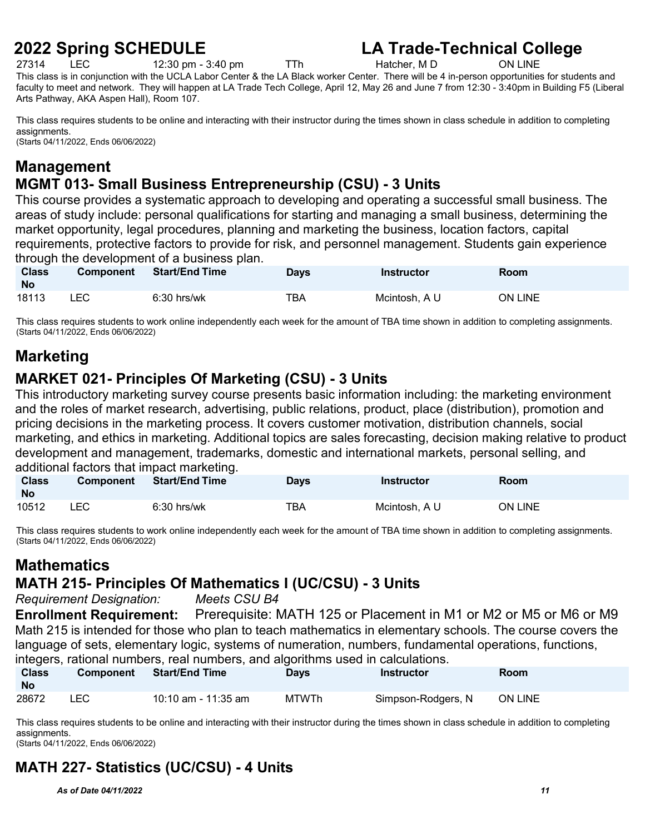$12:30 \text{ pm} - 3:40 \text{ pm}$  TTh

**2022 Spring SCHEDULE**<br>27314 LEC 12:30 pm - 3:40 pm<br>TTh Hatcher, M D ON LINE

This class is in conjunction with the UCLA Labor Center & the LA Black worker Center. There will be 4 in-person opportunities for students and faculty to meet and network. They will happen at LA Trade Tech College, April 12, May 26 and June 7 from 12:30 - 3:40pm in Building F5 (Liberal Arts Pathway, AKA Aspen Hall), Room 107.

This class requires students to be online and interacting with their instructor during the times shown in class schedule in addition to completing assignments. (Starts 04/11/2022, Ends 06/06/2022)

#### **Management MGMT 013- Small Business Entrepreneurship (CSU) - 3 Units**

This course provides a systematic approach to developing and operating a successful small business. The areas of study include: personal qualifications for starting and managing a small business, determining the market opportunity, legal procedures, planning and marketing the business, location factors, capital requirements, protective factors to provide for risk, and personnel management. Students gain experience through the development of a business plan.

| <b>Class</b><br><b>No</b> | <b>Component</b> | <b>Start/End Time</b> | <b>Days</b> | Instructor    | Room           |
|---------------------------|------------------|-----------------------|-------------|---------------|----------------|
| 18113                     | <b>LEC</b>       | $6:30$ hrs/wk         | TBA         | Mcintosh, A U | <b>ON LINE</b> |

This class requires students to work online independently each week for the amount of TBA time shown in addition to completing assignments. (Starts 04/11/2022, Ends 06/06/2022)

## **Marketing**

#### **MARKET 021- Principles Of Marketing (CSU) - 3 Units**

This introductory marketing survey course presents basic information including: the marketing environment and the roles of market research, advertising, public relations, product, place (distribution), promotion and pricing decisions in the marketing process. It covers customer motivation, distribution channels, social marketing, and ethics in marketing. Additional topics are sales forecasting, decision making relative to product development and management, trademarks, domestic and international markets, personal selling, and additional factors that impact marketing.

| <b>Class</b><br><b>No</b> | <b>Component</b> | <b>Start/End Time</b> | Days | <b>Instructor</b> | Room    |
|---------------------------|------------------|-----------------------|------|-------------------|---------|
| 10512                     | <b>LEC</b>       | $6:30$ hrs/wk         | TBA  | Mcintosh, A U     | ON LINE |

This class requires students to work online independently each week for the amount of TBA time shown in addition to completing assignments. (Starts 04/11/2022, Ends 06/06/2022)

## **Mathematics**

#### **MATH 215- Principles Of Mathematics I (UC/CSU) - 3 Units**

*Requirement Designation: Meets CSU B4*

**Enrollment Requirement:** Prerequisite: MATH 125 or Placement in M1 or M2 or M5 or M6 or M9 Math 215 is intended for those who plan to teach mathematics in elementary schools. The course covers the language of sets, elementary logic, systems of numeration, numbers, fundamental operations, functions, integers, rational numbers, real numbers, and algorithms used in calculations.

|                           |           | intogoro, rational numboro, roal numboro, and algontinho docu in calculationo. |             |                    |                |
|---------------------------|-----------|--------------------------------------------------------------------------------|-------------|--------------------|----------------|
| <b>Class</b><br><b>No</b> | Component | Start/End Time                                                                 | <b>Days</b> | Instructor         | Room           |
| 28672                     | ∟EC-      | 10:10 am - 11:35 am                                                            | MTWTh       | Simpson-Rodgers, N | <b>ON LINE</b> |

This class requires students to be online and interacting with their instructor during the times shown in class schedule in addition to completing assignments.

(Starts 04/11/2022, Ends 06/06/2022)

## **MATH 227- Statistics (UC/CSU) - 4 Units**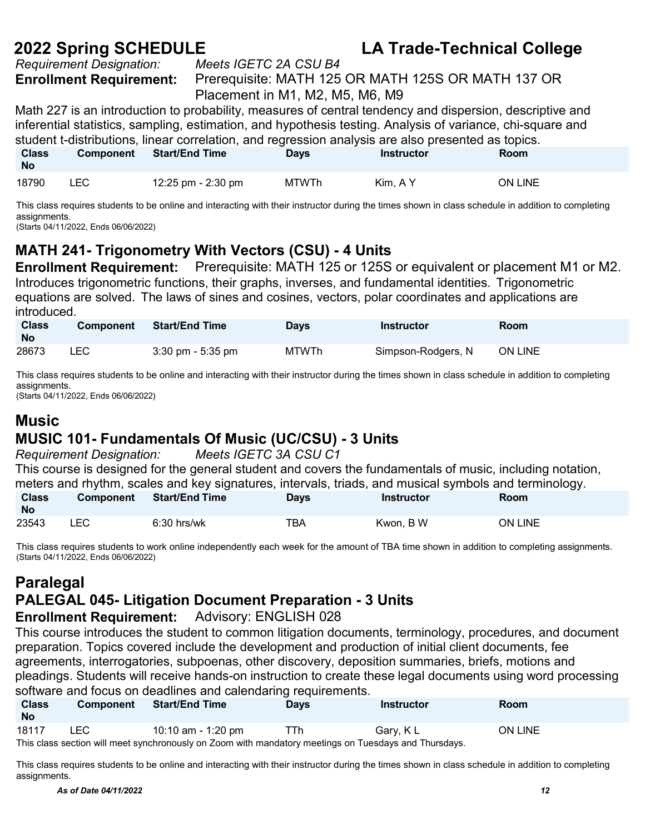*Requirement Designation:* 

**Enrollment Requirement:** Prerequisite: MATH 125 OR MATH 125S OR MATH 137 OR Placement in M1, M2, M5, M6, M9

Math 227 is an introduction to probability, measures of central tendency and dispersion, descriptive and inferential statistics, sampling, estimation, and hypothesis testing. Analysis of variance, chi-square and student t-distributions, linear correlation, and regression analysis are also presented as topics. **Class Component Start/End Time Days Instructor Room**

| <b>No</b> |             |                    |              |          |         |
|-----------|-------------|--------------------|--------------|----------|---------|
| 18790     | LEC<br>____ | 12:25 pm - 2:30 pm | <b>MTWTh</b> | Kim, A Y | ON LINE |

This class requires students to be online and interacting with their instructor during the times shown in class schedule in addition to completing assignments.

(Starts 04/11/2022, Ends 06/06/2022)

## **MATH 241- Trigonometry With Vectors (CSU) - 4 Units**

**Enrollment Requirement:** Prerequisite: MATH 125 or 125S or equivalent or placement M1 or M2. Introduces trigonometric functions, their graphs, inverses, and fundamental identities. Trigonometric equations are solved. The laws of sines and cosines, vectors, polar coordinates and applications are introduced.

| <b>Class</b><br><b>No</b> | <b>Component</b> | <b>Start/End Time</b> | <b>Days</b>  | Instructor         | Room           |
|---------------------------|------------------|-----------------------|--------------|--------------------|----------------|
| 28673                     | LEC              | $3:30$ pm - $5:35$ pm | <b>MTWTh</b> | Simpson-Rodgers, N | <b>ON LINE</b> |

This class requires students to be online and interacting with their instructor during the times shown in class schedule in addition to completing assignments.

(Starts 04/11/2022, Ends 06/06/2022)

#### **Music**

#### **MUSIC 101- Fundamentals Of Music (UC/CSU) - 3 Units**

*Requirement Designation: Meets IGETC 3A CSU C1* This course is designed for the general student and covers the fundamentals of music, including notation, meters and rhythm, scales and key signatures, intervals, triads, and musical symbols and terminology.<br>Class Component Start/End Time Days Days bustructor Room **Class Component Start/End Time No Days Instructor Room** 

23543 LEC 6:30 hrs/wk TBA Kwon, B W ON LINE

This class requires students to work online independently each week for the amount of TBA time shown in addition to completing assignments. (Starts 04/11/2022, Ends 06/06/2022)

#### **Paralegal**

#### **PALEGAL 045- Litigation Document Preparation - 3 Units**

#### **Enrollment Requirement:** Advisory: ENGLISH 028

This course introduces the student to common litigation documents, terminology, procedures, and document preparation. Topics covered include the development and production of initial client documents, fee agreements, interrogatories, subpoenas, other discovery, deposition summaries, briefs, motions and pleadings. Students will receive hands-on instruction to create these legal documents using word processing software and focus on deadlines and calendaring requirements.

| <b>Class</b><br><b>No</b> | <b>Component</b>                                                                                      | <b>Start/End Time</b> | <b>Days</b> | Instructor | <b>Room</b> |  |  |  |
|---------------------------|-------------------------------------------------------------------------------------------------------|-----------------------|-------------|------------|-------------|--|--|--|
| 18117                     | LEC.                                                                                                  | 10:10 am - 1:20 pm    | TTh.        | Gary, K L  | ON LINE     |  |  |  |
|                           | This class section will meet synchronously on Zoom with mandatory meetings on Tuesdays and Thursdays. |                       |             |            |             |  |  |  |

This class requires students to be online and interacting with their instructor during the times shown in class schedule in addition to completing assignments.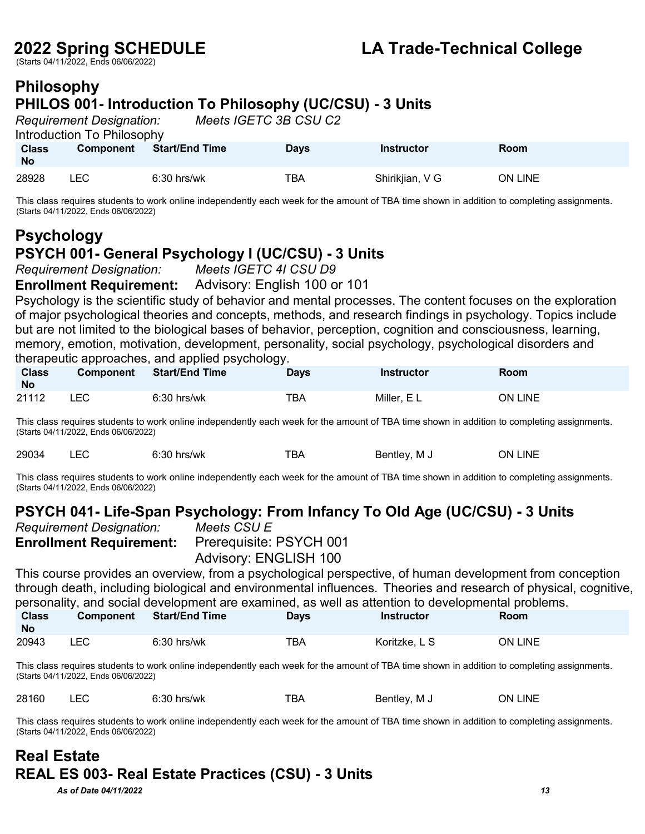(Starts 04/11/2022, Ends 06/06/2022)

#### **Philosophy PHILOS 001- Introduction To Philosophy (UC/CSU) - 3 Units**

|                           | <b>Requirement Designation:</b><br>Introduction To Philosophy |                       | Meets IGETC 3B CSU C2 |                 |         |  |
|---------------------------|---------------------------------------------------------------|-----------------------|-----------------------|-----------------|---------|--|
| <b>Class</b><br><b>No</b> | <b>Component</b>                                              | <b>Start/End Time</b> | <b>Days</b>           | Instructor      | Room    |  |
| 28928                     | ∟EC                                                           | $6:30$ hrs/wk         | ТВА                   | Shirikjian, V G | ON LINE |  |

This class requires students to work online independently each week for the amount of TBA time shown in addition to completing assignments. (Starts 04/11/2022, Ends 06/06/2022)

## **Psychology PSYCH 001- General Psychology I (UC/CSU) - 3 Units**

*Requirement Designation: Meets IGETC 4I CSU D9* 

**Enrollment Requirement:** Advisory: English 100 or 101

Psychology is the scientific study of behavior and mental processes. The content focuses on the exploration of major psychological theories and concepts, methods, and research findings in psychology. Topics include but are not limited to the biological bases of behavior, perception, cognition and consciousness, learning, memory, emotion, motivation, development, personality, social psychology, psychological disorders and therapeutic approaches, and applied psychology.

| <b>Class</b><br><b>No</b> | <b>Component</b> | <b>Start/End Time</b> | <b>Days</b> | <b>Instructor</b> | Room           |
|---------------------------|------------------|-----------------------|-------------|-------------------|----------------|
| 21112                     | LEC              | $6:30$ hrs/wk         | TBA         | Miller, E L       | <b>ON LINE</b> |

This class requires students to work online independently each week for the amount of TBA time shown in addition to completing assignments. (Starts 04/11/2022, Ends 06/06/2022)

| 29034 | $6:30$ hrs/wk | ™ВА | Bentlev. M J         | <b>LINE</b><br>ЭN |
|-------|---------------|-----|----------------------|-------------------|
|       |               |     | $\sim$ $\sim$ $\sim$ |                   |

This class requires students to work online independently each week for the amount of TBA time shown in addition to completing assignments. (Starts 04/11/2022, Ends 06/06/2022)

#### **PSYCH 041- Life-Span Psychology: From Infancy To Old Age (UC/CSU) - 3 Units**

| Requirement Designation: |                               |
|--------------------------|-------------------------------|
|                          | <b>Enrollment Requirement</b> |

*Meets CSU E* **Enrollment Requirement:** Prerequisite: PSYCH 001

Advisory: ENGLISH 100

This course provides an overview, from a psychological perspective, of human development from conception through death, including biological and environmental influences. Theories and research of physical, cognitive, personality, and social development are examined, as well as attention to developmental problems.

| <b>Class</b><br><b>No</b> | <b>Component</b> | <b>Start/End Time</b> | Days | Instructor    | <b>Room</b>    |
|---------------------------|------------------|-----------------------|------|---------------|----------------|
| 20943                     | LEC              | $6:30$ hrs/wk         | TBA  | Koritzke, L S | <b>ON LINE</b> |

This class requires students to work online independently each week for the amount of TBA time shown in addition to completing assignments. (Starts 04/11/2022, Ends 06/06/2022)

28160 LEC 6:30 hrs/wk TBA Bentley, M J ON LINE

This class requires students to work online independently each week for the amount of TBA time shown in addition to completing assignments. (Starts 04/11/2022, Ends 06/06/2022)

#### **Real Estate REAL ES 003- Real Estate Practices (CSU) - 3 Units**

*As of Date 04/11/2022 13*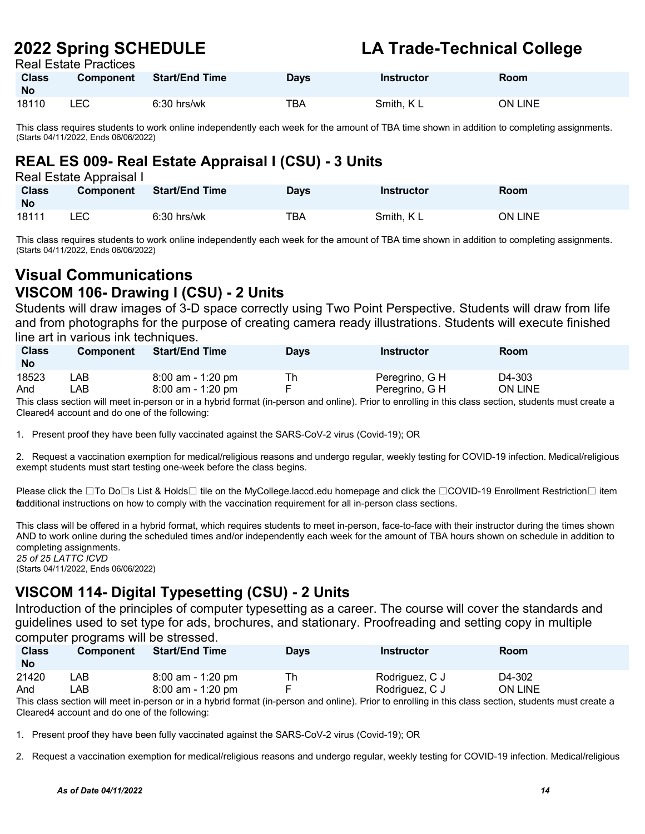Real Estate Practices

| <b>Class</b><br><b>No</b> | <b>Component</b> | <b>Start/End Time</b> | Days | <b>Instructor</b> | <b>Room</b> |
|---------------------------|------------------|-----------------------|------|-------------------|-------------|
| 18110                     | LEC              | $6:30$ hrs/wk         | ТВА  | Smith, KL         | ON LINE     |

This class requires students to work online independently each week for the amount of TBA time shown in addition to completing assignments. (Starts 04/11/2022, Ends 06/06/2022)

### **REAL ES 009- Real Estate Appraisal I (CSU) - 3 Units**

| Real Estate Appraisal I |                  |                       |             |                   |                |  |  |  |
|-------------------------|------------------|-----------------------|-------------|-------------------|----------------|--|--|--|
| <b>Class</b>            | <b>Component</b> | <b>Start/End Time</b> | <b>Days</b> | <b>Instructor</b> | Room           |  |  |  |
| <b>No</b>               |                  |                       |             |                   |                |  |  |  |
| 18111                   | LEC.             | $6:30$ hrs/wk         | TBA         | Smith, KL         | <b>ON LINE</b> |  |  |  |

This class requires students to work online independently each week for the amount of TBA time shown in addition to completing assignments. (Starts 04/11/2022, Ends 06/06/2022)

#### **Visual Communications VISCOM 106- Drawing I (CSU) - 2 Units**

Students will draw images of 3-D space correctly using Two Point Perspective. Students will draw from life and from photographs for the purpose of creating camera ready illustrations. Students will execute finished line art in various ink techniques.

| <b>Class</b><br><b>No</b> | <b>Component</b> | <b>Start/End Time</b> | Davs | <b>Instructor</b> | <b>Room</b>    |
|---------------------------|------------------|-----------------------|------|-------------------|----------------|
| 18523                     | _AB_             | $8:00$ am - 1:20 pm   | Th   | Peregrino, G H    | D4-303         |
| And                       | _AB_             | $8:00$ am - 1:20 pm   |      | Peregrino, G H    | <b>ON LINE</b> |

This class section will meet in-person or in a hybrid format (in-person and online). Prior to enrolling in this class section, students must create a Cleared4 account and do one of the following:

1. Present proof they have been fully vaccinated against the SARS-CoV-2 virus (Covid-19); OR

2. Request a vaccination exemption for medical/religious reasons and undergo regular, weekly testing for COVID-19 infection. Medical/religious exempt students must start testing one-week before the class begins.

Please click the ⊡To Do⊡s List & Holds□ tile on the MyCollege.laccd.edu homepage and click the □COVID-19 Enrollment Restriction□ item fadditional instructions on how to comply with the vaccination requirement for all in-person class sections.

This class will be offered in a hybrid format, which requires students to meet in-person, face-to-face with their instructor during the times shown AND to work online during the scheduled times and/or independently each week for the amount of TBA hours shown on schedule in addition to completing assignments.

*25 of 25 LATTC ICVD* (Starts 04/11/2022, Ends 06/06/2022)

#### **VISCOM 114- Digital Typesetting (CSU) - 2 Units**

Introduction of the principles of computer typesetting as a career. The course will cover the standards and guidelines used to set type for ads, brochures, and stationary. Proofreading and setting copy in multiple computer programs will be stressed.

| <b>Class</b><br><b>No</b> | <b>Component</b> | <b>Start/End Time</b> | <b>Days</b> | Instructor     | Room           |  |
|---------------------------|------------------|-----------------------|-------------|----------------|----------------|--|
| 21420                     | ∟AB⊹             | 8:00 am - 1:20 pm     | Th          | Rodriguez, C J | D4-302         |  |
| And                       | ∟AB⊹             | 8:00 am - 1:20 pm     |             | Rodriguez, C J | <b>ON LINE</b> |  |
|                           |                  |                       |             |                |                |  |

This class section will meet in-person or in a hybrid format (in-person and online). Prior to enrolling in this class section, students must create a Cleared4 account and do one of the following:

1. Present proof they have been fully vaccinated against the SARS-CoV-2 virus (Covid-19); OR

2. Request a vaccination exemption for medical/religious reasons and undergo regular, weekly testing for COVID-19 infection. Medical/religious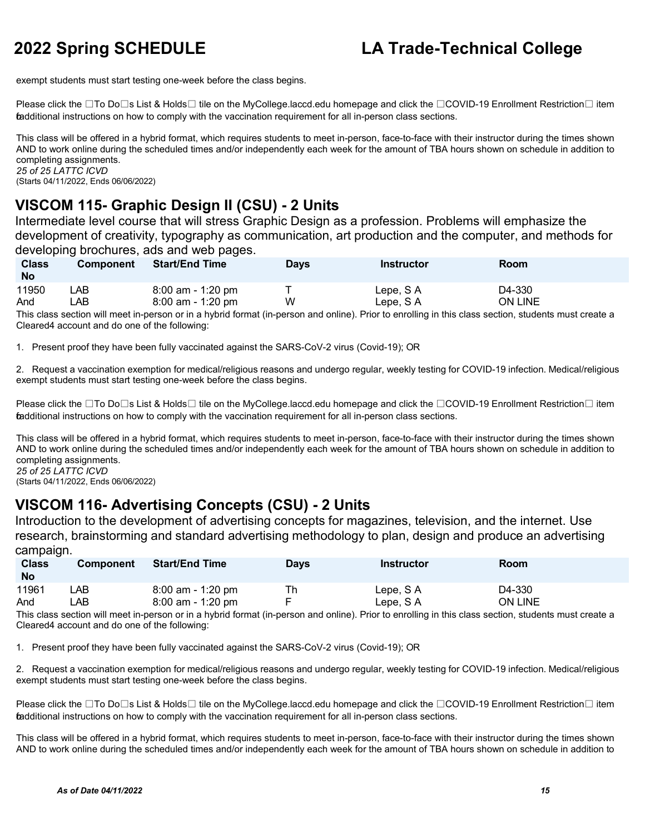exempt students must start testing one-week before the class begins.

Please click the ⊡To Do⊡s List & Holds□ tile on the MyCollege.laccd.edu homepage and click the □COVID-19 Enrollment Restriction□ item fadditional instructions on how to comply with the vaccination requirement for all in-person class sections.

This class will be offered in a hybrid format, which requires students to meet in-person, face-to-face with their instructor during the times shown AND to work online during the scheduled times and/or independently each week for the amount of TBA hours shown on schedule in addition to completing assignments. *25 of 25 LATTC ICVD*

(Starts 04/11/2022, Ends 06/06/2022)

#### **VISCOM 115- Graphic Design II (CSU) - 2 Units**

Intermediate level course that will stress Graphic Design as a profession. Problems will emphasize the development of creativity, typography as communication, art production and the computer, and methods for developing brochures, ads and web pages.

| <b>Class</b><br><b>No</b> | <b>Component</b> | <b>Start/End Time</b> | <b>Davs</b> | Instructor | <b>Room</b>    |
|---------------------------|------------------|-----------------------|-------------|------------|----------------|
| 11950                     | ∟AB              | $8:00$ am - 1:20 pm   |             | Lepe, SA   | D4-330         |
| And                       | _AB_             | $8:00$ am - 1:20 pm   | W           | Lepe, SA   | <b>ON LINE</b> |

This class section will meet in-person or in a hybrid format (in-person and online). Prior to enrolling in this class section, students must create a Cleared4 account and do one of the following:

1. Present proof they have been fully vaccinated against the SARS-CoV-2 virus (Covid-19); OR

2. Request a vaccination exemption for medical/religious reasons and undergo regular, weekly testing for COVID-19 infection. Medical/religious exempt students must start testing one-week before the class begins.

Please click the ⊡To Do⊡s List & Holds□ tile on the MyCollege.laccd.edu homepage and click the □COVID-19 Enrollment Restriction□ item fadditional instructions on how to comply with the vaccination requirement for all in-person class sections.

This class will be offered in a hybrid format, which requires students to meet in-person, face-to-face with their instructor during the times shown AND to work online during the scheduled times and/or independently each week for the amount of TBA hours shown on schedule in addition to completing assignments. *25 of 25 LATTC ICVD*

(Starts 04/11/2022, Ends 06/06/2022)

#### **VISCOM 116- Advertising Concepts (CSU) - 2 Units**

Introduction to the development of advertising concepts for magazines, television, and the internet. Use research, brainstorming and standard advertising methodology to plan, design and produce an advertising campaign.

| <b>Class</b><br><b>No</b> | <b>Component</b> | <b>Start/End Time</b> | <b>Days</b> | Instructor | Room           |
|---------------------------|------------------|-----------------------|-------------|------------|----------------|
| 11961                     | LAB              | $8:00$ am - 1:20 pm   | Th          | Lepe, SA   | D4-330         |
| And                       | ∟AB              | $8:00$ am - 1:20 pm   |             | Lepe, S A  | <b>ON LINE</b> |

This class section will meet in-person or in a hybrid format (in-person and online). Prior to enrolling in this class section, students must create a Cleared4 account and do one of the following:

1. Present proof they have been fully vaccinated against the SARS-CoV-2 virus (Covid-19); OR

2. Request a vaccination exemption for medical/religious reasons and undergo regular, weekly testing for COVID-19 infection. Medical/religious exempt students must start testing one-week before the class begins.

Please click the ⊡To Do⊡s List & Holds⊡ tile on the MyCollege.laccd.edu homepage and click the ⊡COVID-19 Enrollment Restriction⊟ item fadditional instructions on how to comply with the vaccination requirement for all in-person class sections.

This class will be offered in a hybrid format, which requires students to meet in-person, face-to-face with their instructor during the times shown AND to work online during the scheduled times and/or independently each week for the amount of TBA hours shown on schedule in addition to